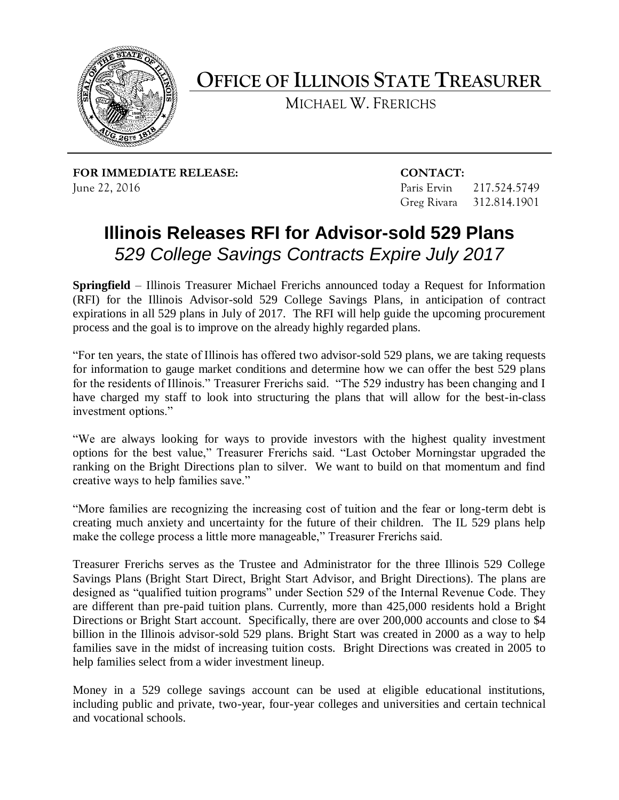

**OFFICE OF ILLINOIS STATE TREASURER**

MICHAEL W. FRERICHS

**FOR IMMEDIATE RELEASE: CONTACT:** June 22, 2016 Paris Ervin 217.524.5749

Greg Rivara 312.814.1901

## **Illinois Releases RFI for Advisor-sold 529 Plans** *529 College Savings Contracts Expire July 2017*

**Springfield** – Illinois Treasurer Michael Frerichs announced today a Request for Information (RFI) for the Illinois Advisor-sold 529 College Savings Plans, in anticipation of contract expirations in all 529 plans in July of 2017. The RFI will help guide the upcoming procurement process and the goal is to improve on the already highly regarded plans.

"For ten years, the state of Illinois has offered two advisor-sold 529 plans, we are taking requests for information to gauge market conditions and determine how we can offer the best 529 plans for the residents of Illinois." Treasurer Frerichs said. "The 529 industry has been changing and I have charged my staff to look into structuring the plans that will allow for the best-in-class investment options."

"We are always looking for ways to provide investors with the highest quality investment options for the best value," Treasurer Frerichs said. "Last October Morningstar upgraded the ranking on the Bright Directions plan to silver. We want to build on that momentum and find creative ways to help families save."

"More families are recognizing the increasing cost of tuition and the fear or long-term debt is creating much anxiety and uncertainty for the future of their children. The IL 529 plans help make the college process a little more manageable," Treasurer Frerichs said.

Treasurer Frerichs serves as the Trustee and Administrator for the three Illinois 529 College Savings Plans (Bright Start Direct, Bright Start Advisor, and Bright Directions). The plans are designed as "qualified tuition programs" under Section 529 of the Internal Revenue Code. They are different than pre-paid tuition plans. Currently, more than 425,000 residents hold a Bright Directions or Bright Start account. Specifically, there are over 200,000 accounts and close to \$4 billion in the Illinois advisor-sold 529 plans. Bright Start was created in 2000 as a way to help families save in the midst of increasing tuition costs. Bright Directions was created in 2005 to help families select from a wider investment lineup.

Money in a 529 college savings account can be used at eligible educational institutions, including public and private, two-year, four-year colleges and universities and certain technical and vocational schools.